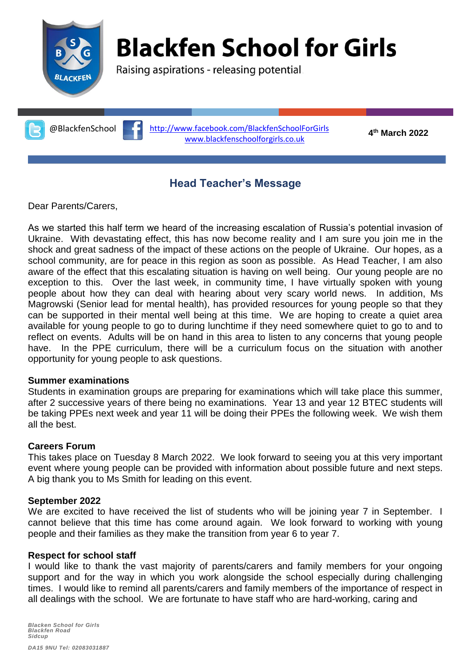

# **Blackfen School for Girls**

Raising aspirations - releasing potential

**th March 2022** @BlackfenSchool <http://www.facebook.com/BlackfenSchoolForGirls> [www.blackfenschoolforgirls.co.uk](http://www.blackfenschoolforgirls.co.uk/)

4<sup>th</sup> March 2022

### **Head Teacher's Message**

Dear Parents/Carers,

As we started this half term we heard of the increasing escalation of Russia's potential invasion of Ukraine. With devastating effect, this has now become reality and I am sure you join me in the shock and great sadness of the impact of these actions on the people of Ukraine. Our hopes, as a school community, are for peace in this region as soon as possible. As Head Teacher, I am also aware of the effect that this escalating situation is having on well being. Our young people are no exception to this. Over the last week, in community time, I have virtually spoken with young people about how they can deal with hearing about very scary world news. In addition, Ms Magrowski (Senior lead for mental health), has provided resources for young people so that they can be supported in their mental well being at this time. We are hoping to create a quiet area available for young people to go to during lunchtime if they need somewhere quiet to go to and to reflect on events. Adults will be on hand in this area to listen to any concerns that young people have. In the PPE curriculum, there will be a curriculum focus on the situation with another opportunity for young people to ask questions.

#### **Summer examinations**

Students in examination groups are preparing for examinations which will take place this summer, after 2 successive years of there being no examinations. Year 13 and year 12 BTEC students will be taking PPEs next week and year 11 will be doing their PPEs the following week. We wish them all the best.

#### **Careers Forum**

This takes place on Tuesday 8 March 2022. We look forward to seeing you at this very important event where young people can be provided with information about possible future and next steps. A big thank you to Ms Smith for leading on this event.

#### **September 2022**

We are excited to have received the list of students who will be joining year 7 in September. I cannot believe that this time has come around again. We look forward to working with young people and their families as they make the transition from year 6 to year 7.

#### **Respect for school staff**

I would like to thank the vast majority of parents/carers and family members for your ongoing support and for the way in which you work alongside the school especially during challenging times. I would like to remind all parents/carers and family members of the importance of respect in all dealings with the school. We are fortunate to have staff who are hard-working, caring and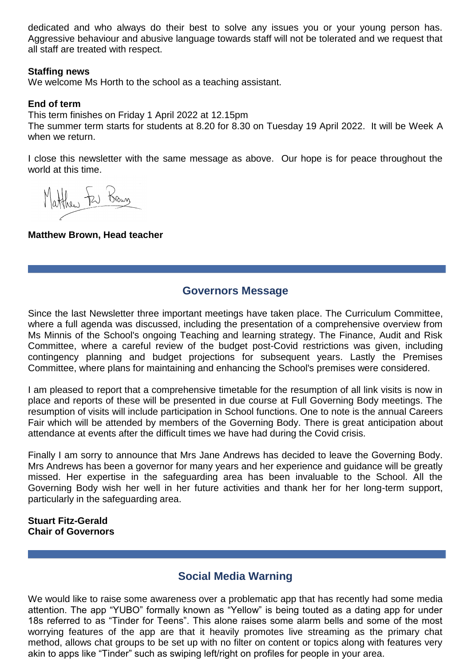dedicated and who always do their best to solve any issues you or your young person has. Aggressive behaviour and abusive language towards staff will not be tolerated and we request that all staff are treated with respect.

#### **Staffing news**

We welcome Ms Horth to the school as a teaching assistant.

#### **End of term**

This term finishes on Friday 1 April 2022 at 12.15pm

The summer term starts for students at 8.20 for 8.30 on Tuesday 19 April 2022. It will be Week A when we return.

I close this newsletter with the same message as above. Our hope is for peace throughout the world at this time.

Matthew Few Brown

#### **Matthew Brown, Head teacher**

#### **Governors Message**

Since the last Newsletter three important meetings have taken place. The Curriculum Committee, where a full agenda was discussed, including the presentation of a comprehensive overview from Ms Minnis of the School's ongoing Teaching and learning strategy. The Finance, Audit and Risk Committee, where a careful review of the budget post-Covid restrictions was given, including contingency planning and budget projections for subsequent years. Lastly the Premises Committee, where plans for maintaining and enhancing the School's premises were considered.

I am pleased to report that a comprehensive timetable for the resumption of all link visits is now in place and reports of these will be presented in due course at Full Governing Body meetings. The resumption of visits will include participation in School functions. One to note is the annual Careers Fair which will be attended by members of the Governing Body. There is great anticipation about attendance at events after the difficult times we have had during the Covid crisis.

Finally I am sorry to announce that Mrs Jane Andrews has decided to leave the Governing Body. Mrs Andrews has been a governor for many years and her experience and guidance will be greatly missed. Her expertise in the safeguarding area has been invaluable to the School. All the Governing Body wish her well in her future activities and thank her for her long-term support, particularly in the safeguarding area.

#### **Stuart Fitz-Gerald Chair of Governors**

## **Social Media Warning**

We would like to raise some awareness over a problematic app that has recently had some media attention. The app "YUBO" formally known as "Yellow" is being touted as a dating app for under 18s referred to as "Tinder for Teens". This alone raises some alarm bells and some of the most worrying features of the app are that it heavily promotes live streaming as the primary chat method, allows chat groups to be set up with no filter on content or topics along with features very akin to apps like "Tinder" such as swiping left/right on profiles for people in your area.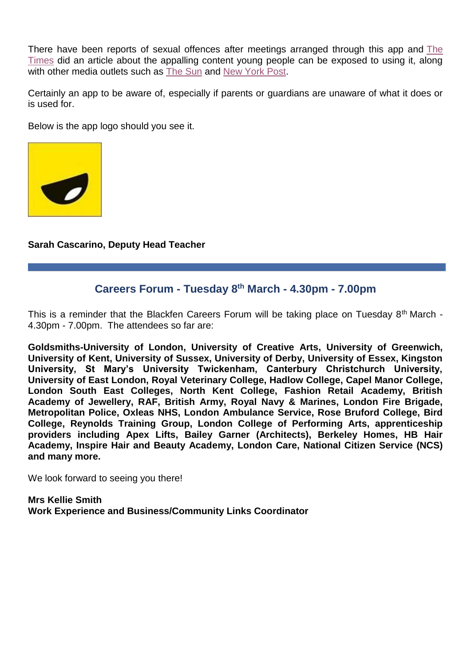There have been reports of sexual offences after meetings arranged through this app and [The](https://eur02.safelinks.protection.outlook.com/?url=https%3A%2F%2Fwww.thetimes.co.uk%2Farticle%2Fsex-abuse-and-racism-rife-on-tinder-for-teens-used-by-millions-of-british-children-23vvtjwdz&data=04%7C01%7CGurvinder.Thumber%40met.police.uk%7C09eae345342647c65bff08d9f6e44f76%7Cf3ee2a7e72354d28ab42617c4c17f0c1%7C0%7C0%7C637812282703404752%7CUnknown%7CTWFpbGZsb3d8eyJWIjoiMC4wLjAwMDAiLCJQIjoiV2luMzIiLCJBTiI6Ik1haWwiLCJXVCI6Mn0%3D%7C3000&sdata=uYQw%2Bs0JSEHWwRyJgdL2jltG92iKNzHNbiLODKenlOE%3D&reserved=0)  [Times](https://eur02.safelinks.protection.outlook.com/?url=https%3A%2F%2Fwww.thetimes.co.uk%2Farticle%2Fsex-abuse-and-racism-rife-on-tinder-for-teens-used-by-millions-of-british-children-23vvtjwdz&data=04%7C01%7CGurvinder.Thumber%40met.police.uk%7C09eae345342647c65bff08d9f6e44f76%7Cf3ee2a7e72354d28ab42617c4c17f0c1%7C0%7C0%7C637812282703404752%7CUnknown%7CTWFpbGZsb3d8eyJWIjoiMC4wLjAwMDAiLCJQIjoiV2luMzIiLCJBTiI6Ik1haWwiLCJXVCI6Mn0%3D%7C3000&sdata=uYQw%2Bs0JSEHWwRyJgdL2jltG92iKNzHNbiLODKenlOE%3D&reserved=0) did an article about the appalling content young people can be exposed to using it, along with other media outlets such as [The Sun](https://eur02.safelinks.protection.outlook.com/?url=https%3A%2F%2Fwww.thesun.co.uk%2Ftech%2F17713519%2Furgent-warning-yubo-tinder-teens-sexual-racist-messages%2F&data=04%7C01%7CGurvinder.Thumber%40met.police.uk%7C09eae345342647c65bff08d9f6e44f76%7Cf3ee2a7e72354d28ab42617c4c17f0c1%7C0%7C0%7C637812282703404752%7CUnknown%7CTWFpbGZsb3d8eyJWIjoiMC4wLjAwMDAiLCJQIjoiV2luMzIiLCJBTiI6Ik1haWwiLCJXVCI6Mn0%3D%7C3000&sdata=RFusjzoguY7O63%2FqhJjvQf66e19sC8NFv6kbsLw6qzE%3D&reserved=0) and [New York Post.](https://eur02.safelinks.protection.outlook.com/?url=https%3A%2F%2Fnypost.com%2F2022%2F02%2F21%2Ftinder-for-teens-contains-sexual-harassment-racism-report%2F&data=04%7C01%7CGurvinder.Thumber%40met.police.uk%7C09eae345342647c65bff08d9f6e44f76%7Cf3ee2a7e72354d28ab42617c4c17f0c1%7C0%7C0%7C637812282703404752%7CUnknown%7CTWFpbGZsb3d8eyJWIjoiMC4wLjAwMDAiLCJQIjoiV2luMzIiLCJBTiI6Ik1haWwiLCJXVCI6Mn0%3D%7C3000&sdata=BFr74ccj9gjxUsH9%2FVuu3iIh2PXGtQj7FZbCKfOHE4c%3D&reserved=0)

Certainly an app to be aware of, especially if parents or guardians are unaware of what it does or is used for.

Below is the app logo should you see it.



**Sarah Cascarino, Deputy Head Teacher**

# **Careers Forum - Tuesday 8th March - 4.30pm - 7.00pm**

This is a reminder that the Blackfen Careers Forum will be taking place on Tuesday  $8<sup>th</sup>$  March -4.30pm - 7.00pm. The attendees so far are:

**Goldsmiths-University of London, University of Creative Arts, University of Greenwich, University of Kent, University of Sussex, University of Derby, University of Essex, Kingston University, St Mary's University Twickenham, Canterbury Christchurch University, University of East London, Royal Veterinary College, Hadlow College, Capel Manor College, London South East Colleges, North Kent College, Fashion Retail Academy, British Academy of Jewellery, RAF, British Army, Royal Navy & Marines, London Fire Brigade, Metropolitan Police, Oxleas NHS, London Ambulance Service, Rose Bruford College, Bird College, Reynolds Training Group, London College of Performing Arts, apprenticeship providers including Apex Lifts, Bailey Garner (Architects), Berkeley Homes, HB Hair Academy, Inspire Hair and Beauty Academy, London Care, National Citizen Service (NCS) and many more.**

We look forward to seeing you there!

**Mrs Kellie Smith Work Experience and Business/Community Links Coordinator**